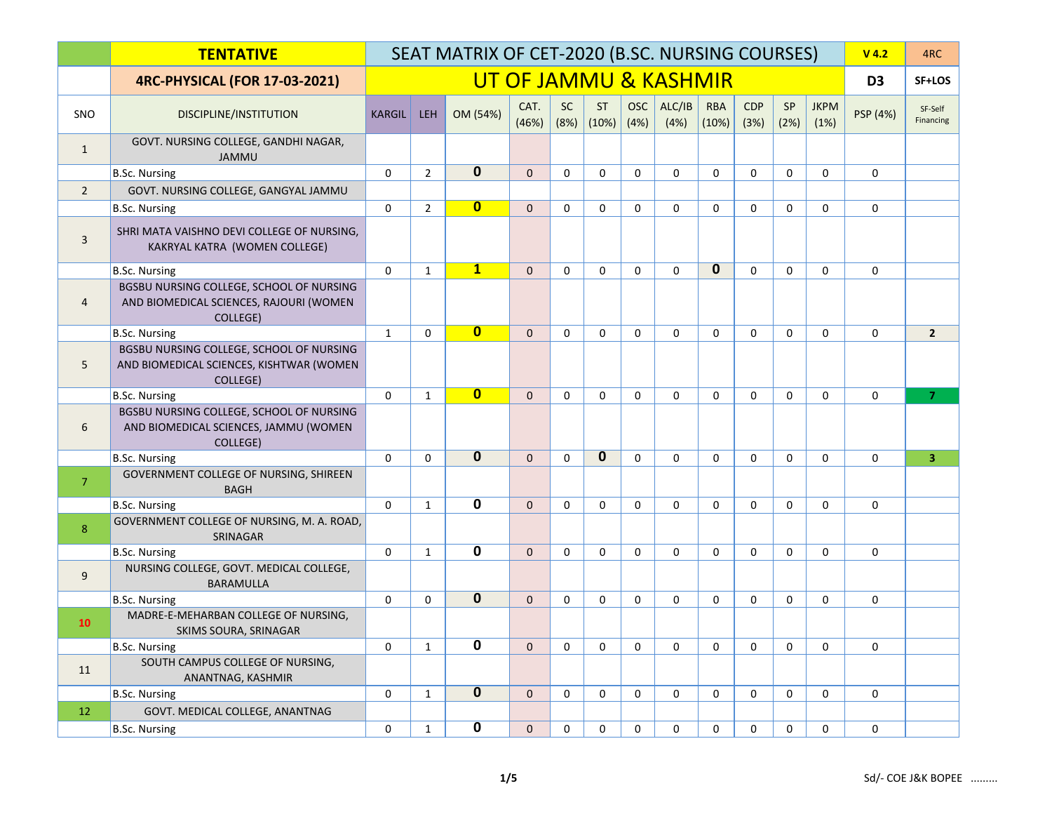|                | <b>TENTATIVE</b>                                                                                 |               |                | SEAT MATRIX OF CET-2020 (B.SC. NURSING COURSES) |               |                   |                    |                    |                       |                     |             |             |                     | $V$ 4.2        | 4RC                  |
|----------------|--------------------------------------------------------------------------------------------------|---------------|----------------|-------------------------------------------------|---------------|-------------------|--------------------|--------------------|-----------------------|---------------------|-------------|-------------|---------------------|----------------|----------------------|
|                | <b>4RC-PHYSICAL (FOR 17-03-2021)</b>                                                             |               |                |                                                 |               |                   |                    |                    | UT OF JAMMU & KASHMIR |                     |             |             |                     | D <sub>3</sub> | SF+LOS               |
| SNO            | DISCIPLINE/INSTITUTION                                                                           | <b>KARGIL</b> | <b>LEH</b>     | OM (54%)                                        | CAT.<br>(46%) | <b>SC</b><br>(8%) | <b>ST</b><br>(10%) | <b>OSC</b><br>(4%) | ALC/IB<br>(4%)        | <b>RBA</b><br>(10%) | CDP<br>(3%) | SP<br>(2%)  | <b>JKPM</b><br>(1%) | PSP (4%)       | SF-Self<br>Financing |
| $\mathbf{1}$   | GOVT. NURSING COLLEGE, GANDHI NAGAR,<br><b>JAMMU</b>                                             |               |                |                                                 |               |                   |                    |                    |                       |                     |             |             |                     |                |                      |
|                | <b>B.Sc. Nursing</b>                                                                             | $\mathbf 0$   | $\overline{2}$ | $\overline{0}$                                  | $\mathbf{0}$  | $\Omega$          | $\mathbf 0$        | $\mathbf 0$        | $\mathbf 0$           | $\mathbf 0$         | $\Omega$    | $\mathbf 0$ | $\Omega$            | $\mathbf 0$    |                      |
| $\overline{2}$ | GOVT. NURSING COLLEGE, GANGYAL JAMMU                                                             |               |                |                                                 |               |                   |                    |                    |                       |                     |             |             |                     |                |                      |
|                | <b>B.Sc. Nursing</b>                                                                             | $\mathbf 0$   | $\overline{2}$ | $\mathbf{0}$                                    | $\Omega$      | $\mathbf 0$       | $\Omega$           | $\Omega$           | $\mathbf 0$           | $\mathbf 0$         | $\Omega$    | $\Omega$    | $\Omega$            | $\mathbf 0$    |                      |
| $\overline{3}$ | SHRI MATA VAISHNO DEVI COLLEGE OF NURSING,<br>KAKRYAL KATRA (WOMEN COLLEGE)                      |               |                |                                                 |               |                   |                    |                    |                       |                     |             |             |                     |                |                      |
|                | <b>B.Sc. Nursing</b>                                                                             | $\Omega$      | $\mathbf{1}$   | $\overline{\mathbf{1}}$                         | $\mathbf{0}$  | $\Omega$          | $\mathbf 0$        | $\Omega$           | $\mathbf 0$           | $\mathbf{0}$        | $\Omega$    | $\Omega$    | $\Omega$            | $\mathbf 0$    |                      |
| $\overline{4}$ | BGSBU NURSING COLLEGE, SCHOOL OF NURSING<br>AND BIOMEDICAL SCIENCES, RAJOURI (WOMEN<br>COLLEGE)  |               |                |                                                 |               |                   |                    |                    |                       |                     |             |             |                     |                |                      |
|                | <b>B.Sc. Nursing</b>                                                                             | $\mathbf{1}$  | $\Omega$       | $\overline{\mathbf{0}}$                         | $\mathbf{0}$  | $\Omega$          | $\mathbf 0$        | $\Omega$           | $\mathbf 0$           | $\Omega$            | $\Omega$    | $\Omega$    | $\Omega$            | $\mathbf 0$    | $\overline{2}$       |
| 5              | BGSBU NURSING COLLEGE, SCHOOL OF NURSING<br>AND BIOMEDICAL SCIENCES, KISHTWAR (WOMEN<br>COLLEGE) |               |                |                                                 |               |                   |                    |                    |                       |                     |             |             |                     |                |                      |
|                | <b>B.Sc. Nursing</b>                                                                             | $\mathbf 0$   | $\mathbf{1}$   | $\overline{\mathbf{0}}$                         | $\mathbf{0}$  | $\Omega$          | $\mathbf 0$        | $\mathbf 0$        | $\mathbf 0$           | 0                   | $\Omega$    | $\mathbf 0$ | $\Omega$            | $\mathbf 0$    | $\overline{7}$       |
| 6              | BGSBU NURSING COLLEGE, SCHOOL OF NURSING<br>AND BIOMEDICAL SCIENCES, JAMMU (WOMEN<br>COLLEGE)    |               |                |                                                 |               |                   |                    |                    |                       |                     |             |             |                     |                |                      |
|                | <b>B.Sc. Nursing</b>                                                                             | $\mathbf{0}$  | $\mathbf 0$    | $\mathbf{0}$                                    | $\mathbf{0}$  | $\mathbf 0$       | 0                  | $\mathbf 0$        | $\mathbf 0$           | 0                   | $\mathbf 0$ | $\mathbf 0$ | $\mathbf 0$         | $\mathbf 0$    | $\overline{3}$       |
| $\overline{7}$ | GOVERNMENT COLLEGE OF NURSING, SHIREEN<br><b>BAGH</b>                                            |               |                |                                                 |               |                   |                    |                    |                       |                     |             |             |                     |                |                      |
|                | <b>B.Sc. Nursing</b>                                                                             | $\Omega$      | $\mathbf{1}$   | $\mathbf 0$                                     | $\mathbf{0}$  | $\mathbf 0$       | $\mathbf 0$        | $\mathbf 0$        | $\mathbf 0$           | $\mathbf 0$         | $\Omega$    | $\mathbf 0$ | $\Omega$            | $\mathbf 0$    |                      |
| 8              | GOVERNMENT COLLEGE OF NURSING, M. A. ROAD,<br>SRINAGAR                                           |               |                |                                                 |               |                   |                    |                    |                       |                     |             |             |                     |                |                      |
|                | <b>B.Sc. Nursing</b>                                                                             | $\mathbf{0}$  | $\mathbf{1}$   | $\overline{\mathbf{0}}$                         | $\mathbf{0}$  | $\mathbf 0$       | $\mathbf 0$        | $\mathbf 0$        | $\mathbf 0$           | $\mathbf 0$         | $\mathbf 0$ | $\mathbf 0$ | $\mathbf 0$         | $\mathbf 0$    |                      |
| 9              | NURSING COLLEGE, GOVT. MEDICAL COLLEGE,<br><b>BARAMULLA</b>                                      |               |                |                                                 |               |                   |                    |                    |                       |                     |             |             |                     |                |                      |
|                | <b>B.Sc. Nursing</b>                                                                             | $\mathbf{0}$  | $\mathbf 0$    | $\overline{0}$                                  | $\mathbf{0}$  | $\mathbf 0$       | $\mathbf 0$        | $\mathbf 0$        | $\mathbf 0$           | $\mathbf 0$         | $\mathbf 0$ | $\mathbf 0$ | $\Omega$            | $\mathbf 0$    |                      |
| 10             | MADRE-E-MEHARBAN COLLEGE OF NURSING,<br>SKIMS SOURA, SRINAGAR                                    |               |                |                                                 |               |                   |                    |                    |                       |                     |             |             |                     |                |                      |
|                | <b>B.Sc. Nursing</b>                                                                             | $\mathbf 0$   | $\mathbf{1}$   | 0                                               | $\mathbf{0}$  | $\mathbf 0$       | $\mathbf 0$        | $\mathbf 0$        | 0                     | $\mathbf 0$         | $\mathbf 0$ | $\mathbf 0$ | $\Omega$            | $\mathbf 0$    |                      |
| 11             | SOUTH CAMPUS COLLEGE OF NURSING,<br>ANANTNAG, KASHMIR                                            |               |                |                                                 |               |                   |                    |                    |                       |                     |             |             |                     |                |                      |
|                | <b>B.Sc. Nursing</b>                                                                             | $\mathbf{0}$  | $\mathbf{1}$   | $\overline{0}$                                  | $\mathbf{0}$  | $\mathbf 0$       | $\mathbf 0$        | $\mathbf 0$        | $\mathbf 0$           | $\mathbf 0$         | $\mathbf 0$ | $\mathbf 0$ | $\mathbf 0$         | $\mathbf 0$    |                      |
| 12             | GOVT. MEDICAL COLLEGE, ANANTNAG                                                                  |               |                |                                                 |               |                   |                    |                    |                       |                     |             |             |                     |                |                      |
|                | <b>B.Sc. Nursing</b>                                                                             | 0             | $\mathbf{1}$   | $\mathbf 0$                                     | $\mathbf{0}$  | $\mathbf 0$       | 0                  | 0                  | 0                     | 0                   | 0           | 0           | 0                   | 0              |                      |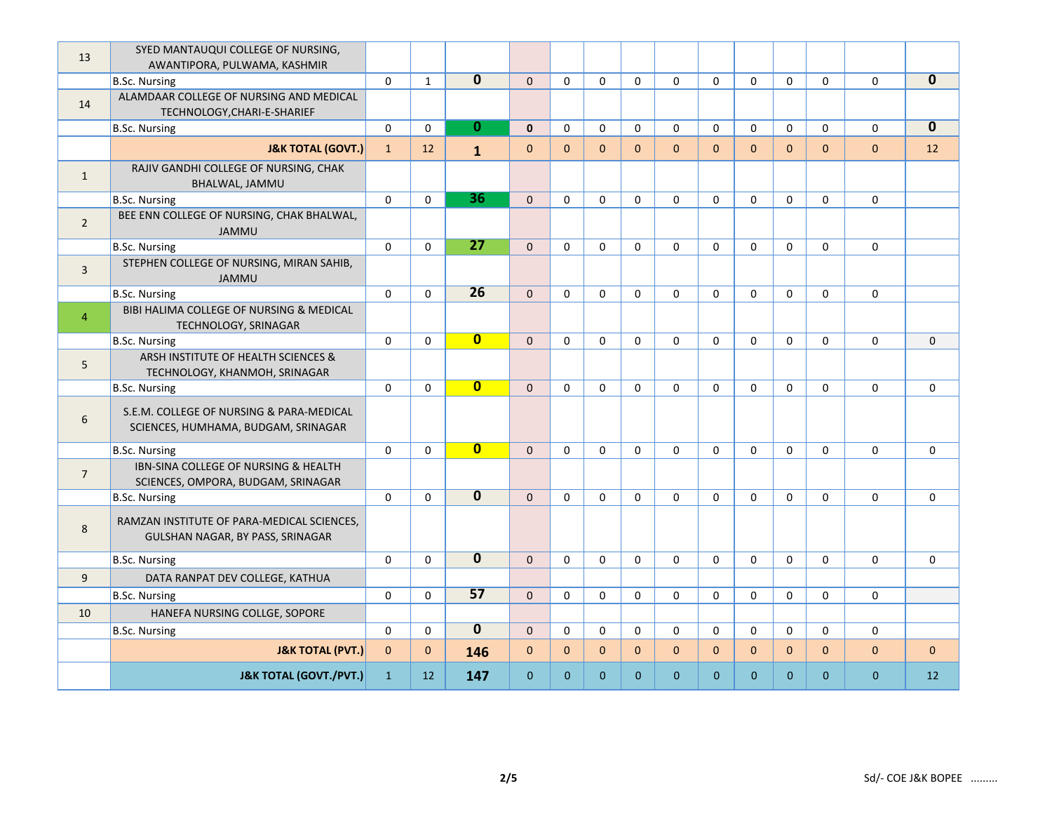| 13             | SYED MANTAUQUI COLLEGE OF NURSING,<br>AWANTIPORA, PULWAMA, KASHMIR              |              |              |                         |                |                |              |                |                |              |              |              |              |              |              |
|----------------|---------------------------------------------------------------------------------|--------------|--------------|-------------------------|----------------|----------------|--------------|----------------|----------------|--------------|--------------|--------------|--------------|--------------|--------------|
|                | <b>B.Sc. Nursing</b>                                                            | $\mathbf{0}$ | $\mathbf{1}$ | $\overline{\mathbf{0}}$ | $\mathbf{0}$   | $\mathbf{0}$   | $\mathbf 0$  | $\mathbf 0$    | $\mathbf{0}$   | $\mathbf 0$  | $\mathbf 0$  | $\mathbf{0}$ | $\mathbf 0$  | $\mathbf 0$  | $\mathbf 0$  |
| 14             | ALAMDAAR COLLEGE OF NURSING AND MEDICAL<br>TECHNOLOGY, CHARI-E-SHARIEF          |              |              |                         |                |                |              |                |                |              |              |              |              |              |              |
|                | <b>B.Sc. Nursing</b>                                                            | $\mathbf 0$  | $\mathbf 0$  | $\bf{0}$                | $\mathbf{0}$   | $\mathbf 0$    | $\mathbf 0$  | $\mathbf 0$    | $\mathbf 0$    | $\mathbf 0$  | $\mathbf 0$  | $\mathbf 0$  | $\mathbf 0$  | $\mathbf 0$  | $\mathbf{0}$ |
|                | <b>J&amp;K TOTAL (GOVT.)</b>                                                    | $\mathbf{1}$ | 12           | $\mathbf{1}$            | $\pmb{0}$      | $\mathbf{0}$   | $\mathbf{0}$ | $\overline{0}$ | $\Omega$       | $\mathbf{0}$ | $\Omega$     | $\Omega$     | $\mathbf{0}$ | $\mathbf 0$  | 12           |
| 1              | RAJIV GANDHI COLLEGE OF NURSING, CHAK<br>BHALWAL, JAMMU                         |              |              |                         |                |                |              |                |                |              |              |              |              |              |              |
|                | <b>B.Sc. Nursing</b>                                                            | $\mathbf 0$  | $\mathbf 0$  | 36                      | $\overline{0}$ | $\mathbf 0$    | $\mathbf 0$  | $\mathbf 0$    | 0              | $\mathbf 0$  | $\Omega$     | $\Omega$     | $\Omega$     | $\mathbf 0$  |              |
| $\overline{2}$ | BEE ENN COLLEGE OF NURSING, CHAK BHALWAL,<br><b>JAMMU</b>                       |              |              |                         |                |                |              |                |                |              |              |              |              |              |              |
|                | <b>B.Sc. Nursing</b>                                                            | $\mathbf{0}$ | $\mathbf 0$  | $\overline{27}$         | $\overline{0}$ | $\mathbf{0}$   | $\mathbf{0}$ | $\mathbf 0$    | $\mathbf 0$    | $\mathbf 0$  | $\mathbf 0$  | $\mathbf{0}$ | $\mathbf 0$  | $\mathbf 0$  |              |
| $\overline{3}$ | STEPHEN COLLEGE OF NURSING, MIRAN SAHIB,<br><b>JAMMU</b>                        |              |              |                         |                |                |              |                |                |              |              |              |              |              |              |
|                | <b>B.Sc. Nursing</b>                                                            | 0            | $\mathbf 0$  | $\overline{26}$         | $\mathbf{0}$   | $\mathbf{0}$   | $\mathbf{0}$ | $\mathbf 0$    | $\mathbf 0$    | $\mathbf 0$  | $\mathbf 0$  | $\mathbf{0}$ | $\mathbf 0$  | $\mathbf 0$  |              |
| $\overline{4}$ | BIBI HALIMA COLLEGE OF NURSING & MEDICAL<br>TECHNOLOGY, SRINAGAR                |              |              |                         |                |                |              |                |                |              |              |              |              |              |              |
|                | <b>B.Sc. Nursing</b>                                                            | $\mathbf 0$  | $\Omega$     | $\overline{\mathbf{0}}$ | $\mathbf{0}$   | $\mathbf 0$    | $\mathbf 0$  | $\mathbf 0$    | $\mathbf 0$    | $\mathbf 0$  | $\Omega$     | $\Omega$     | $\Omega$     | $\mathbf 0$  | $\Omega$     |
| 5              | ARSH INSTITUTE OF HEALTH SCIENCES &<br>TECHNOLOGY, KHANMOH, SRINAGAR            |              |              |                         |                |                |              |                |                |              |              |              |              |              |              |
|                | <b>B.Sc. Nursing</b>                                                            | $\mathbf 0$  | $\mathbf 0$  | $\overline{\mathbf{0}}$ | $\mathbf{0}$   | $\mathbf{0}$   | $\mathbf 0$  | $\mathbf 0$    | 0              | $\mathbf{0}$ | $\Omega$     | $\mathbf 0$  | $\Omega$     | $\mathbf 0$  | $\mathbf 0$  |
| 6              | S.E.M. COLLEGE OF NURSING & PARA-MEDICAL<br>SCIENCES, HUMHAMA, BUDGAM, SRINAGAR |              |              |                         |                |                |              |                |                |              |              |              |              |              |              |
|                | <b>B.Sc. Nursing</b>                                                            | $\mathbf 0$  | $\Omega$     | $\overline{\mathbf{0}}$ | $\Omega$       | $\mathbf 0$    | $\mathbf 0$  | $\Omega$       | $\mathbf 0$    | $\Omega$     | $\Omega$     | $\Omega$     | $\Omega$     | $\mathbf 0$  | $\mathbf 0$  |
| $\overline{7}$ | IBN-SINA COLLEGE OF NURSING & HEALTH<br>SCIENCES, OMPORA, BUDGAM, SRINAGAR      |              |              |                         |                |                |              |                |                |              |              |              |              |              |              |
|                | <b>B.Sc. Nursing</b>                                                            | $\mathbf{0}$ | $\mathbf 0$  | $\overline{0}$          | $\mathbf{0}$   | $\mathbf{0}$   | $\mathbf{0}$ | $\mathbf 0$    | $\mathbf 0$    | $\mathbf 0$  | $\mathbf 0$  | $\mathbf{0}$ | $\mathbf 0$  | $\mathbf 0$  | $\mathbf 0$  |
| 8              | RAMZAN INSTITUTE OF PARA-MEDICAL SCIENCES,<br>GULSHAN NAGAR, BY PASS, SRINAGAR  |              |              |                         |                |                |              |                |                |              |              |              |              |              |              |
|                | <b>B.Sc. Nursing</b>                                                            | $\mathbf 0$  | $\mathbf 0$  | $\overline{\mathbf{0}}$ | $\mathbf{0}$   | $\mathbf{0}$   | $\mathbf{0}$ | $\mathbf 0$    | 0              | $\mathbf{0}$ | $\mathbf 0$  | $\mathbf{0}$ | $\mathbf 0$  | $\mathbf 0$  | $\mathbf 0$  |
| 9              | DATA RANPAT DEV COLLEGE, KATHUA                                                 |              |              |                         |                |                |              |                |                |              |              |              |              |              |              |
|                | <b>B.Sc. Nursing</b>                                                            | $\mathbf 0$  | $\mathbf 0$  | 57                      | $\overline{0}$ | $\mathbf 0$    | $\mathbf 0$  | $\mathbf 0$    | $\mathbf 0$    | $\mathbf 0$  | $\mathbf 0$  | $\mathbf 0$  | $\mathbf 0$  | 0            |              |
| 10             | HANEFA NURSING COLLGE, SOPORE                                                   |              |              |                         |                |                |              |                |                |              |              |              |              |              |              |
|                | <b>B.Sc. Nursing</b>                                                            | $\Omega$     | $\Omega$     | $\mathbf{0}$            | $\Omega$       | $\Omega$       | $\Omega$     | $\Omega$       | $\Omega$       | $\Omega$     | $\Omega$     | $\Omega$     | $\Omega$     | $\Omega$     |              |
|                | <b>J&amp;K TOTAL (PVT.)</b>                                                     | $\mathbf{0}$ | $\mathbf{0}$ | 146                     | $\mathbf{0}$   | $\mathbf{0}$   | $\mathbf{0}$ | $\mathbf{0}$   | $\overline{0}$ | $\mathbf{0}$ | $\mathbf{0}$ | $\mathbf{0}$ | $\mathbf{0}$ | $\mathbf{0}$ | $\mathbf{0}$ |
|                | <b>J&amp;K TOTAL (GOVT./PVT.)</b>                                               | $\mathbf{1}$ | 12           | 147                     | $\mathbf{0}$   | $\overline{0}$ | $\mathbf{0}$ | $\overline{0}$ | $\mathbf{0}$   | $\Omega$     | $\Omega$     | $\Omega$     | $\mathbf{0}$ | $\mathbf{0}$ | 12           |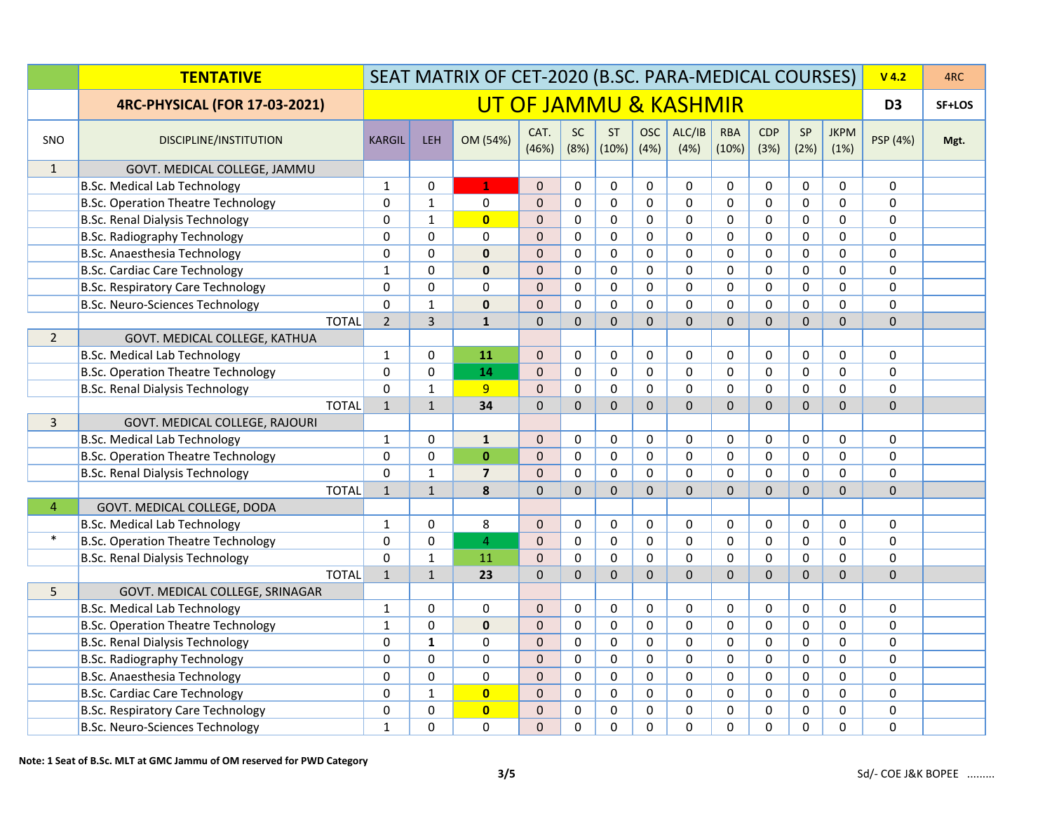|                | <b>TENTATIVE</b>                          | SEAT MATRIX OF CET-2020 (B.SC. PARA-MEDICAL COURSES) |                       |                         |                |                   |                    |                    |                |                     |                    | $V$ 4.2     | 4RC                 |                |        |
|----------------|-------------------------------------------|------------------------------------------------------|-----------------------|-------------------------|----------------|-------------------|--------------------|--------------------|----------------|---------------------|--------------------|-------------|---------------------|----------------|--------|
|                | <b>4RC-PHYSICAL (FOR 17-03-2021)</b>      |                                                      | UT OF JAMMU & KASHMIR |                         |                |                   |                    |                    |                |                     |                    |             |                     | D <sub>3</sub> | SF+LOS |
| SNO            | DISCIPLINE/INSTITUTION                    | <b>KARGIL</b>                                        | <b>LEH</b>            | OM (54%)                | CAT.<br>(46%)  | <b>SC</b><br>(8%) | <b>ST</b><br>(10%) | <b>OSC</b><br>(4%) | ALC/IB<br>(4%) | <b>RBA</b><br>(10%) | <b>CDP</b><br>(3%) | SP<br>(2%)  | <b>JKPM</b><br>(1%) | PSP (4%)       | Mgt.   |
| $\mathbf{1}$   | GOVT. MEDICAL COLLEGE, JAMMU              |                                                      |                       |                         |                |                   |                    |                    |                |                     |                    |             |                     |                |        |
|                | <b>B.Sc. Medical Lab Technology</b>       | $\mathbf{1}$                                         | $\Omega$              | $\mathbf{1}$            | $\Omega$       | $\Omega$          | $\mathbf 0$        | $\Omega$           | $\mathbf 0$    | $\Omega$            | $\mathbf 0$        | $\mathbf 0$ | $\Omega$            | $\Omega$       |        |
|                | <b>B.Sc. Operation Theatre Technology</b> | 0                                                    | $\mathbf{1}$          | $\mathbf 0$             | $\Omega$       | $\Omega$          | $\mathbf 0$        | $\mathbf 0$        | $\mathbf 0$    | $\Omega$            | $\Omega$           | 0           | $\Omega$            | $\mathbf 0$    |        |
|                | <b>B.Sc. Renal Dialysis Technology</b>    | 0                                                    | $\mathbf{1}$          | $\overline{\mathbf{0}}$ | $\Omega$       | $\Omega$          | $\mathbf 0$        | $\Omega$           | $\Omega$       | $\Omega$            | 0                  | 0           | $\Omega$            | $\mathbf 0$    |        |
|                | <b>B.Sc. Radiography Technology</b>       | $\mathbf 0$                                          | $\mathbf 0$           | $\mathbf 0$             | $\mathbf{0}$   | $\Omega$          | $\mathbf 0$        | $\mathbf 0$        | $\mathbf 0$    | $\mathbf 0$         | 0                  | $\mathbf 0$ | 0                   | $\mathbf 0$    |        |
|                | B.Sc. Anaesthesia Technology              | 0                                                    | $\mathbf 0$           | $\mathbf 0$             | $\mathbf 0$    | $\Omega$          | $\mathbf 0$        | $\mathbf 0$        | $\mathbf 0$    | $\mathbf 0$         | $\mathbf 0$        | $\mathbf 0$ | 0                   | $\mathbf 0$    |        |
|                | <b>B.Sc. Cardiac Care Technology</b>      | $\mathbf{1}$                                         | $\Omega$              | $\mathbf 0$             | $\Omega$       | $\Omega$          | $\pmb{0}$          | $\Omega$           | $\Omega$       | $\Omega$            | $\Omega$           | $\pmb{0}$   | 0                   | $\mathbf 0$    |        |
|                | <b>B.Sc. Respiratory Care Technology</b>  | $\Omega$                                             | $\Omega$              | $\mathbf 0$             | $\Omega$       | $\Omega$          | $\mathbf 0$        | $\Omega$           | $\Omega$       | $\Omega$            | $\Omega$           | $\Omega$    | $\Omega$            | $\mathbf 0$    |        |
|                | <b>B.Sc. Neuro-Sciences Technology</b>    | 0                                                    | $\mathbf{1}$          | $\bf{0}$                | $\Omega$       | $\Omega$          | $\Omega$           | $\Omega$           | $\Omega$       | $\Omega$            | $\Omega$           | 0           | $\Omega$            | $\mathbf 0$    |        |
|                | <b>TOTAL</b>                              | $\overline{2}$                                       | 3                     | $\mathbf{1}$            | $\overline{0}$ | $\Omega$          | $\mathbf{0}$       | $\Omega$           | $\Omega$       | $\overline{0}$      | $\overline{0}$     | $\mathbf 0$ | $\Omega$            | $\mathbf 0$    |        |
| $\overline{2}$ | GOVT. MEDICAL COLLEGE, KATHUA             |                                                      |                       |                         |                |                   |                    |                    |                |                     |                    |             |                     |                |        |
|                | <b>B.Sc. Medical Lab Technology</b>       | 1                                                    | 0                     | 11                      | $\mathbf{0}$   | 0                 | $\mathbf 0$        | 0                  | 0              | 0                   | 0                  | 0           | 0                   | $\mathbf 0$    |        |
|                | <b>B.Sc. Operation Theatre Technology</b> | 0                                                    | $\Omega$              | 14                      | $\Omega$       | $\Omega$          | $\pmb{0}$          | $\Omega$           | $\Omega$       | $\Omega$            | $\Omega$           | $\pmb{0}$   | 0                   | $\pmb{0}$      |        |
|                | <b>B.Sc. Renal Dialysis Technology</b>    | 0                                                    | $\mathbf{1}$          | 9                       | $\Omega$       | 0                 | $\mathbf 0$        | $\mathbf 0$        | $\mathbf 0$    | $\mathbf{0}$        | $\mathbf 0$        | $\mathbf 0$ | 0                   | $\mathbf 0$    |        |
|                | <b>TOTAL</b>                              | $\mathbf{1}$                                         | $\mathbf{1}$          | 34                      | $\mathbf{0}$   | $\mathbf 0$       | $\Omega$           | $\overline{0}$     | $\Omega$       | 0                   | $\Omega$           | $\mathbf 0$ | $\Omega$            | $\mathbf 0$    |        |
| $\overline{3}$ | GOVT. MEDICAL COLLEGE, RAJOURI            |                                                      |                       |                         |                |                   |                    |                    |                |                     |                    |             |                     |                |        |
|                | <b>B.Sc. Medical Lab Technology</b>       | $\mathbf{1}$                                         | $\mathbf 0$           | $\mathbf{1}$            | $\mathbf{0}$   | 0                 | $\mathbf 0$        | $\mathbf 0$        | $\mathbf 0$    | $\mathbf 0$         | 0                  | 0           | 0                   | $\mathbf 0$    |        |
|                | <b>B.Sc. Operation Theatre Technology</b> | $\mathbf 0$                                          | $\mathbf 0$           | $\pmb{0}$               | $\mathbf 0$    | 0                 | $\pmb{0}$          | $\mathbf 0$        | $\mathbf 0$    | $\mathbf 0$         | $\mathbf 0$        | $\pmb{0}$   | 0                   | $\mathbf 0$    |        |
|                | <b>B.Sc. Renal Dialysis Technology</b>    | 0                                                    | $\mathbf 1$           | $\overline{\mathbf{z}}$ | $\Omega$       | $\Omega$          | $\Omega$           | $\Omega$           | $\overline{0}$ | $\Omega$            | $\Omega$           | $\pmb{0}$   | $\Omega$            | $\pmb{0}$      |        |
|                | <b>TOTAL</b>                              | $\mathbf{1}$                                         | $\mathbf{1}$          | 8                       | $\Omega$       | $\Omega$          | $\Omega$           | $\Omega$           | $\overline{0}$ | $\Omega$            | $\Omega$           | $\Omega$    | $\Omega$            | $\Omega$       |        |
| $\overline{4}$ | GOVT. MEDICAL COLLEGE, DODA               |                                                      |                       |                         |                |                   |                    |                    |                |                     |                    |             |                     |                |        |
|                | <b>B.Sc. Medical Lab Technology</b>       | $\mathbf{1}$                                         | $\mathbf 0$           | 8                       | $\mathbf{0}$   | $\Omega$          | 0                  | $\mathbf 0$        | $\mathbf 0$    | $\Omega$            | $\mathbf 0$        | 0           | $\mathbf 0$         | $\mathbf 0$    |        |
| $\ast$         | <b>B.Sc. Operation Theatre Technology</b> | 0                                                    | $\mathbf 0$           | $\overline{4}$          | $\mathbf{0}$   | 0                 | $\mathbf 0$        | $\mathbf 0$        | $\mathbf 0$    | $\mathbf 0$         | $\mathbf 0$        | $\mathbf 0$ | $\mathbf 0$         | $\mathbf 0$    |        |
|                | <b>B.Sc. Renal Dialysis Technology</b>    | $\Omega$                                             | $\mathbf{1}$          | 11                      | $\mathbf 0$    | 0                 | $\mathbf 0$        | $\mathbf 0$        | $\mathbf 0$    | $\Omega$            | $\Omega$           | $\mathbf 0$ | 0                   | $\mathbf 0$    |        |
|                | <b>TOTAL</b>                              | $\mathbf 1$                                          | $\mathbf{1}$          | 23                      | $\Omega$       | $\Omega$          | $\Omega$           | $\overline{0}$     | $\overline{0}$ | $\Omega$            | $\Omega$           | $\Omega$    | $\overline{0}$      | $\Omega$       |        |
| 5              | GOVT. MEDICAL COLLEGE, SRINAGAR           |                                                      |                       |                         |                |                   |                    |                    |                |                     |                    |             |                     |                |        |
|                | <b>B.Sc. Medical Lab Technology</b>       | $\mathbf{1}$                                         | $\Omega$              | $\Omega$                | $\Omega$       | $\Omega$          | $\mathbf 0$        | $\Omega$           | $\mathbf 0$    | $\Omega$            | 0                  | 0           | $\Omega$            | $\mathbf 0$    |        |
|                | <b>B.Sc. Operation Theatre Technology</b> | $\mathbf{1}$                                         | $\Omega$              | $\mathbf{0}$            | $\Omega$       | $\Omega$          | $\mathbf 0$        | $\mathbf 0$        | $\mathbf 0$    | $\Omega$            | $\Omega$           | $\mathbf 0$ | $\Omega$            | $\mathbf 0$    |        |
|                | <b>B.Sc. Renal Dialysis Technology</b>    | 0                                                    | $\mathbf{1}$          | $\mathbf 0$             | $\Omega$       | $\Omega$          | $\mathbf 0$        | $\mathbf 0$        | $\Omega$       | 0                   | 0                  | 0           | $\Omega$            | $\mathbf 0$    |        |
|                | <b>B.Sc. Radiography Technology</b>       | 0                                                    | $\mathbf 0$           | $\mathbf 0$             | $\mathbf{0}$   | 0                 | $\mathbf 0$        | $\mathbf 0$        | $\mathbf 0$    | $\mathbf 0$         | 0                  | $\mathbf 0$ | 0                   | $\mathbf 0$    |        |
|                | B.Sc. Anaesthesia Technology              | 0                                                    | $\mathbf{0}$          | $\Omega$                | $\Omega$       | 0                 | $\mathbf 0$        | $\mathbf 0$        | $\mathbf 0$    | $\mathbf{0}$        | $\mathbf 0$        | $\mathbf 0$ | 0                   | $\mathbf 0$    |        |
|                | <b>B.Sc. Cardiac Care Technology</b>      | 0                                                    | $\mathbf{1}$          | $\overline{0}$          | $\mathbf 0$    | $\Omega$          | $\mathbf 0$        | $\mathbf 0$        | $\mathbf 0$    | $\Omega$            | $\Omega$           | 0           | 0                   | $\mathbf 0$    |        |
|                | <b>B.Sc. Respiratory Care Technology</b>  | 0                                                    | $\Omega$              | $\mathbf{0}$            | $\mathbf{0}$   | $\Omega$          | $\mathbf 0$        | $\Omega$           | $\Omega$       | $\Omega$            | $\Omega$           | 0           | $\Omega$            | $\mathbf 0$    |        |
|                | B.Sc. Neuro-Sciences Technology           | $\mathbf{1}$                                         | 0                     | $\mathbf{0}$            | $\mathbf{0}$   | $\Omega$          | $\Omega$           | $\Omega$           | $\Omega$       | 0                   | 0                  | 0           | $\Omega$            | $\mathbf 0$    |        |

**Note: 1 Seat of B.Sc. MLT at GMC Jammu of OM reserved for PWD Category**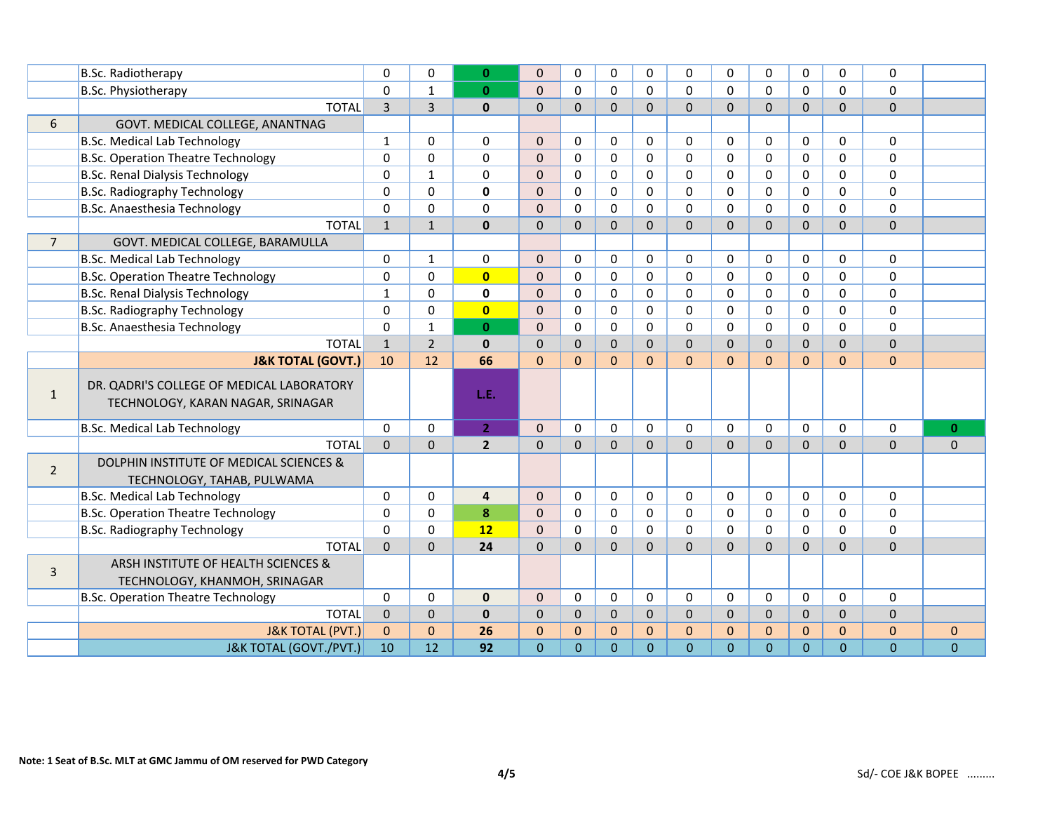|                | <b>B.Sc. Radiotherapy</b>                                                      | $\Omega$       | $\Omega$       | $\mathbf{0}$   | $\Omega$       | $\Omega$       | $\Omega$       | $\Omega$     | $\Omega$       | $\Omega$       | $\Omega$       | $\Omega$       | $\Omega$     | $\Omega$       |              |
|----------------|--------------------------------------------------------------------------------|----------------|----------------|----------------|----------------|----------------|----------------|--------------|----------------|----------------|----------------|----------------|--------------|----------------|--------------|
|                | B.Sc. Physiotherapy                                                            | $\mathbf{0}$   | $\mathbf{1}$   | $\mathbf{0}$   | $\Omega$       | $\Omega$       | $\Omega$       | $\Omega$     | $\Omega$       | $\Omega$       | $\Omega$       | $\Omega$       | $\Omega$     | $\Omega$       |              |
|                | <b>TOTAL</b>                                                                   | $\overline{3}$ | $\overline{3}$ | $\mathbf{0}$   | $\Omega$       | $\Omega$       | $\Omega$       | $\Omega$     | $\Omega$       | $\Omega$       | $\Omega$       | $\Omega$       | $\Omega$     | $\Omega$       |              |
| 6              | GOVT. MEDICAL COLLEGE, ANANTNAG                                                |                |                |                |                |                |                |              |                |                |                |                |              |                |              |
|                | <b>B.Sc. Medical Lab Technology</b>                                            | $\mathbf{1}$   | $\Omega$       | 0              | $\overline{0}$ | $\Omega$       | 0              | $\mathbf 0$  | $\mathbf{0}$   | $\Omega$       | $\Omega$       | $\mathbf{0}$   | $\Omega$     | $\Omega$       |              |
|                | <b>B.Sc. Operation Theatre Technology</b>                                      | 0              | $\Omega$       | $\Omega$       | $\Omega$       | $\Omega$       | $\Omega$       | $\Omega$     | $\Omega$       | $\Omega$       | $\Omega$       | $\mathbf{0}$   | $\Omega$     | $\Omega$       |              |
|                | <b>B.Sc. Renal Dialysis Technology</b>                                         | 0              | $\mathbf{1}$   | $\Omega$       | $\mathbf 0$    | $\Omega$       | 0              | $\Omega$     | $\mathbf 0$    | $\Omega$       | $\Omega$       | $\mathbf{0}$   | $\Omega$     | $\mathbf 0$    |              |
|                | <b>B.Sc. Radiography Technology</b>                                            | 0              | $\Omega$       | 0              | $\mathbf 0$    | $\Omega$       | 0              | $\Omega$     | $\Omega$       | $\Omega$       | $\Omega$       | $\mathbf{0}$   | $\Omega$     | $\mathbf 0$    |              |
|                | B.Sc. Anaesthesia Technology                                                   | 0              | $\Omega$       | $\mathbf{0}$   | $\mathbf 0$    | $\Omega$       | 0              | $\Omega$     | $\mathbf 0$    | 0              | $\Omega$       | $\mathbf{0}$   | $\Omega$     | $\Omega$       |              |
|                | <b>TOTAL</b>                                                                   | $\mathbf{1}$   | $\mathbf{1}$   | $\mathbf{0}$   | $\mathbf{0}$   | 0              | $\Omega$       | $\Omega$     | $\Omega$       | $\Omega$       | $\Omega$       | $\Omega$       | $\Omega$     | $\Omega$       |              |
| $\overline{7}$ | GOVT. MEDICAL COLLEGE, BARAMULLA                                               |                |                |                |                |                |                |              |                |                |                |                |              |                |              |
|                | <b>B.Sc. Medical Lab Technology</b>                                            | 0              | $\mathbf{1}$   | 0              | $\overline{0}$ | $\Omega$       | 0              | $\mathbf 0$  | $\mathbf 0$    | $\Omega$       | 0              | $\mathbf{0}$   | $\mathbf 0$  | $\Omega$       |              |
|                | <b>B.Sc. Operation Theatre Technology</b>                                      | 0              | $\mathbf 0$    | $\overline{0}$ | $\mathbf 0$    | $\Omega$       | 0              | $\mathbf 0$  | $\mathbf 0$    | $\Omega$       | $\mathbf 0$    | $\mathbf{0}$   | $\mathbf 0$  | $\mathbf 0$    |              |
|                | <b>B.Sc. Renal Dialysis Technology</b>                                         | $\mathbf{1}$   | $\Omega$       | $\mathbf 0$    | $\mathbf 0$    | $\Omega$       | $\Omega$       | $\Omega$     | $\Omega$       | $\Omega$       | $\Omega$       | $\mathbf{0}$   | $\Omega$     | $\Omega$       |              |
|                | <b>B.Sc. Radiography Technology</b>                                            | 0              | $\Omega$       | $\overline{0}$ | $\Omega$       | $\Omega$       | $\Omega$       | $\Omega$     | $\Omega$       | $\Omega$       | $\Omega$       | $\mathbf{0}$   | $\Omega$     | $\mathbf 0$    |              |
|                | B.Sc. Anaesthesia Technology                                                   | $\Omega$       | $\mathbf{1}$   | $\mathbf{0}$   | $\mathbf{0}$   | $\Omega$       | 0              | $\Omega$     | $\Omega$       | $\Omega$       | $\Omega$       | $\mathbf{0}$   | $\Omega$     | $\Omega$       |              |
|                | <b>TOTAL</b>                                                                   | $\mathbf{1}$   | $\overline{2}$ | $\mathbf{0}$   | $\mathbf{0}$   | 0              | $\Omega$       | $\mathbf{0}$ | $\overline{0}$ | $\Omega$       | $\overline{0}$ | $\Omega$       | $\mathbf{0}$ | $\mathbf 0$    |              |
|                | <b>J&amp;K TOTAL (GOVT.)</b>                                                   | 10             | 12             | 66             | $\Omega$       | $\Omega$       | $\Omega$       | $\Omega$     | $\Omega$       | $\Omega$       | $\Omega$       | $\Omega$       | $\Omega$     | $\Omega$       |              |
| $\mathbf{1}$   | DR. QADRI'S COLLEGE OF MEDICAL LABORATORY<br>TECHNOLOGY, KARAN NAGAR, SRINAGAR |                |                | L.E.           |                |                |                |              |                |                |                |                |              |                |              |
|                | <b>B.Sc. Medical Lab Technology</b>                                            | $\Omega$       | $\Omega$       | 2 <sup>1</sup> | $\overline{0}$ | $\Omega$       | 0              | $\Omega$     | $\Omega$       | $\Omega$       | $\Omega$       | $\mathbf{0}$   | $\Omega$     | $\Omega$       | $\mathbf{0}$ |
|                | <b>TOTAL</b>                                                                   | $\overline{0}$ | $\mathbf 0$    | $\overline{2}$ | $\mathbf 0$    | $\overline{0}$ | $\Omega$       | $\Omega$     | $\Omega$       | $\Omega$       | $\Omega$       | $\mathbf{0}$   | $\Omega$     | $\overline{0}$ | $\mathbf{0}$ |
| $\overline{2}$ | DOLPHIN INSTITUTE OF MEDICAL SCIENCES &<br>TECHNOLOGY, TAHAB, PULWAMA          |                |                |                |                |                |                |              |                |                |                |                |              |                |              |
|                | <b>B.Sc. Medical Lab Technology</b>                                            | 0              | $\Omega$       | 4              | $\mathbf{0}$   | $\Omega$       | 0              | $\mathbf 0$  | $\mathbf 0$    | $\Omega$       | $\Omega$       | $\mathbf{0}$   | $\mathbf 0$  | $\mathbf 0$    |              |
|                | <b>B.Sc. Operation Theatre Technology</b>                                      | 0              | $\Omega$       | 8              | $\overline{0}$ | $\Omega$       | $\Omega$       | $\Omega$     | $\mathbf 0$    | $\Omega$       | $\Omega$       | $\mathbf{0}$   | $\Omega$     | $\mathbf 0$    |              |
|                | <b>B.Sc. Radiography Technology</b>                                            | $\Omega$       | $\Omega$       | 12             | $\overline{0}$ | $\Omega$       | $\Omega$       | $\mathbf 0$  | $\Omega$       | $\Omega$       | $\Omega$       | $\mathbf{0}$   | $\Omega$     | $\Omega$       |              |
|                | <b>TOTAL</b>                                                                   | $\overline{0}$ | $\Omega$       | 24             | $\mathbf 0$    | 0              | $\Omega$       | $\Omega$     | $\Omega$       | $\overline{0}$ | $\overline{0}$ | $\Omega$       | $\Omega$     | $\mathbf 0$    |              |
| 3              | ARSH INSTITUTE OF HEALTH SCIENCES &<br>TECHNOLOGY, KHANMOH, SRINAGAR           |                |                |                |                |                |                |              |                |                |                |                |              |                |              |
|                | <b>B.Sc. Operation Theatre Technology</b>                                      | 0              | $\mathbf 0$    | $\mathbf{0}$   | $\mathbf{0}$   | 0              | 0              | $\mathbf 0$  | $\mathbf 0$    | $\Omega$       | $\Omega$       | $\mathbf{0}$   | $\mathbf 0$  | $\mathbf 0$    |              |
|                | <b>TOTAL</b>                                                                   | $\mathbf 0$    | $\overline{0}$ | $\mathbf{0}$   | $\mathbf 0$    | 0              | $\mathbf{0}$   | $\mathbf{0}$ | $\overline{0}$ | $\overline{0}$ | $\mathbf{0}$   | $\mathbf{0}$   | $\mathbf{0}$ | $\mathbf 0$    |              |
|                | <b>J&amp;K TOTAL (PVT.)</b>                                                    | $\mathbf{0}$   | $\Omega$       | 26             | $\mathbf{0}$   | $\Omega$       | $\Omega$       | $\mathbf{0}$ | $\Omega$       | $\Omega$       | $\Omega$       | $\Omega$       | $\mathbf{0}$ | $\mathbf{0}$   | $\mathbf{0}$ |
|                | J&K TOTAL (GOVT./PVT.)                                                         | 10             | 12             | 92             | $\overline{0}$ | $\overline{0}$ | $\overline{0}$ | $\mathbf{0}$ | $\mathbf{0}$   | $\Omega$       | $\overline{0}$ | $\overline{0}$ | $\Omega$     | $\overline{0}$ | $\mathbf{0}$ |